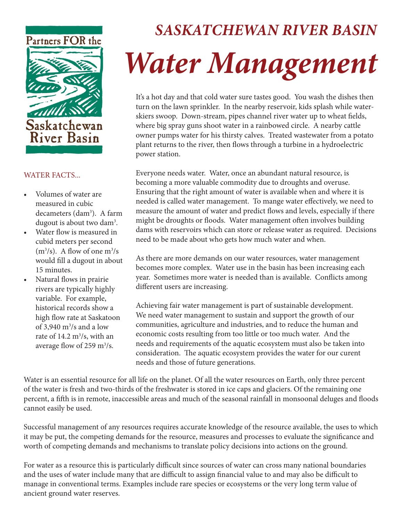

## WATER FACTS...

- Volumes of water are measured in cubic decameters (dam3 ). A farm dugout is about two dam<sup>3</sup>.
- Water flow is measured in cubid meters per second  $(m<sup>3</sup>/s)$ . A flow of one  $m<sup>3</sup>/s$ would fill a dugout in about 15 minutes.
- Natural flows in prairie rivers are typically highly variable. For example, historical records show a high flow rate at Saskatoon of 3,940  $\mathrm{m}^3/\mathrm{s}$  and a low rate of  $14.2 \text{ m}^3\text{/s}$ , with an average flow of 259 m<sup>3</sup>/s.

# *SASKATCHEWAN RIVER BASIN Water Management*

It's a hot day and that cold water sure tastes good. You wash the dishes then turn on the lawn sprinkler. In the nearby reservoir, kids splash while waterskiers swoop. Down-stream, pipes channel river water up to wheat fields, where big spray guns shoot water in a rainbowed circle. A nearby cattle owner pumps water for his thirsty calves. Treated wastewater from a potato plant returns to the river, then flows through a turbine in a hydroelectric power station.

Everyone needs water. Water, once an abundant natural resource, is becoming a more valuable commodity due to droughts and overuse. Ensuring that the right amount of water is available when and where it is needed is called water management. To mange water effectively, we need to measure the amount of water and predict flows and levels, especially if there might be droughts or floods. Water management often involves building dams with reservoirs which can store or release water as required. Decisions need to be made about who gets how much water and when.

As there are more demands on our water resources, water management becomes more complex. Water use in the basin has been increasing each year. Sometimes more water is needed than is available. Conflicts among different users are increasing.

Achieving fair water management is part of sustainable development. We need water management to sustain and support the growth of our communities, agriculture and industries, and to reduce the human and economic costs resulting from too little or too much water. And the needs and requirements of the aquatic ecosystem must also be taken into consideration. The aquatic ecosystem provides the water for our curent needs and those of future generations.

Water is an essential resource for all life on the planet. Of all the water resources on Earth, only three percent of the water is fresh and two-thirds of the freshwater is stored in ice caps and glaciers. Of the remaining one percent, a fifth is in remote, inaccessible areas and much of the seasonal rainfall in monsoonal deluges and floods cannot easily be used.

Successful management of any resources requires accurate knowledge of the resource available, the uses to which it may be put, the competing demands for the resource, measures and processes to evaluate the significance and worth of competing demands and mechanisms to translate policy decisions into actions on the ground.

For water as a resource this is particularly difficult since sources of water can cross many national boundaries and the uses of water include many that are difficult to assign financial value to and may also be difficult to manage in conventional terms. Examples include rare species or ecosystems or the very long term value of ancient ground water reserves.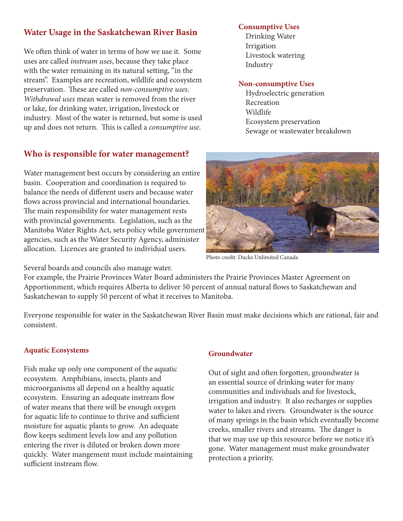# **Water Usage in the Saskatchewan River Basin**

We often think of water in terms of how we use it. Some uses are called *instream uses*, because they take place with the water remaining in its natural setting, "in the stream". Examples are recreation, wildlife and ecosystem preservation. These are called *non-consumptive uses*. *Withdrawal uses* mean water is removed from the river or lake, for drinking water, irrigation, livestock or industry. Most of the water is returned, but some is used up and does not return. This is called a *consumptive use*.

# **Who is responsible for water management?**

Water management best occurs by considering an entire basin. Cooperation and coordination is required to balance the needs of different users and because water flows across provincial and international boundaries. The main responsibility for water management rests with provincial governments. Legislation, such as the Manitoba Water Rights Act, sets policy while government agencies, such as the Water Security Agency, administer allocation. Licences are granted to individual users.

Saskatchewan to supply 50 percent of what it receives to Manitoba.

Several boards and councils also manage water.

For example, the Prairie Provinces Water Board administers the Prairie Provinces Master Agreement on Apportionment, which requires Alberta to deliver 50 percent of annual natural flows to Saskatchewan and

Everyone responsible for water in the Saskatchewan River Basin must make decisions which are rational, fair and consistent.

# **Aquatic Ecosystems**

Fish make up only one component of the aquatic ecosystem. Amphibians, insects, plants and microorganisms all depend on a healthy aquatic ecosystem. Ensuring an adequate instream flow of water means that there will be enough oxygen for aquatic life to continue to thrive and sufficient moisture for aquatic plants to grow. An adequate flow keeps sediment levels low and any pollution entering the river is diluted or broken down more quickly. Water mangement must include maintaining sufficient instream flow.

## **Groundwater**

Out of sight and often forgotten, groundwater is an essential source of drinking water for many communities and individuals and for livestock, irrigation and industry. It also recharges or supplies water to lakes and rivers. Groundwater is the source of many springs in the basin which eventually become creeks, smaller rivers and streams. The danger is that we may use up this resource before we notice it's gone. Water management must make groundwater protection a priority.



# **Non-consumptive Uses**

Livestock watering

**Consumptive Uses** Drinking Water

Irrigation

Industry

 Hydroelectric generation Recreation Wildlife Ecosystem preservation Sewage or wastewater breakdown

Photo credit: Ducks Unlimited Canada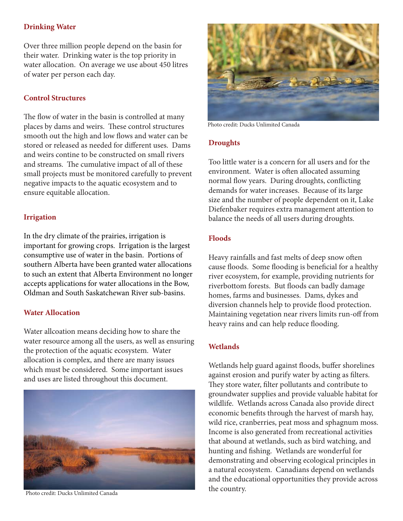# **Drinking Water**

Over three million people depend on the basin for their water. Drinking water is the top priority in water allocation. On average we use about 450 litres of water per person each day.

#### **Control Structures**

The flow of water in the basin is controlled at many places by dams and weirs. These control structures smooth out the high and low flows and water can be stored or released as needed for different uses. Dams and weirs contine to be constructed on small rivers and streams. The cumulative impact of all of these small projects must be monitored carefully to prevent negative impacts to the aquatic ecosystem and to ensure equitable allocation.

#### **Irrigation**

In the dry climate of the prairies, irrigation is important for growing crops. Irrigation is the largest consumptive use of water in the basin. Portions of southern Alberta have been granted water allocations to such an extent that Alberta Environment no longer accepts applications for water allocations in the Bow, Oldman and South Saskatchewan River sub-basins.

#### **Water Allocation**

Water allcoation means deciding how to share the water resource among all the users, as well as ensuring the protection of the aquatic ecosystem. Water allocation is complex, and there are many issues which must be considered. Some important issues and uses are listed throughout this document.



Photo credit: Ducks Unlimited Canada



Photo credit: Ducks Unlimited Canada

#### **Droughts**

Too little water is a concern for all users and for the environment. Water is often allocated assuming normal flow years. During droughts, conflicting demands for water increases. Because of its large size and the number of people dependent on it, Lake Diefenbaker requires extra management attention to balance the needs of all users during droughts.

#### **Floods**

Heavy rainfalls and fast melts of deep snow often cause floods. Some flooding is beneficial for a healthy river ecosystem, for example, providing nutrients for riverbottom forests. But floods can badly damage homes, farms and businesses. Dams, dykes and diversion channels help to provide flood protection. Maintaining vegetation near rivers limits run-off from heavy rains and can help reduce flooding.

#### **Wetlands**

Wetlands help guard against floods, buffer shorelines against erosion and purify water by acting as filters. They store water, filter pollutants and contribute to groundwater supplies and provide valuable habitat for wildlife. Wetlands across Canada also provide direct economic benefits through the harvest of marsh hay, wild rice, cranberries, peat moss and sphagnum moss. Income is also generated from recreational activities that abound at wetlands, such as bird watching, and hunting and fishing. Wetlands are wonderful for demonstrating and observing ecological principles in a natural ecosystem. Canadians depend on wetlands and the educational opportunities they provide across the country.